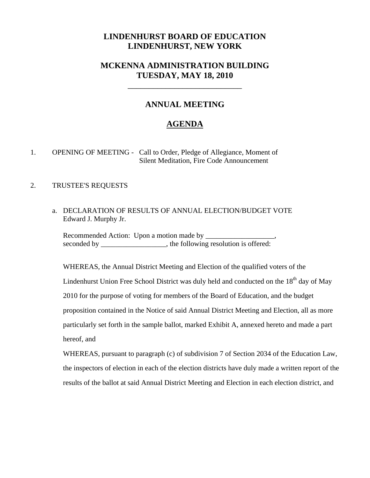## **LINDENHURST BOARD OF EDUCATION LINDENHURST, NEW YORK**

# **MCKENNA ADMINISTRATION BUILDING TUESDAY, MAY 18, 2010**

\_\_\_\_\_\_\_\_\_\_\_\_\_\_\_\_\_\_\_\_\_\_\_\_\_\_\_

## **ANNUAL MEETING**

# **AGENDA**

1. OPENING OF MEETING - Call to Order, Pledge of Allegiance, Moment of Silent Meditation, Fire Code Announcement

#### 2. TRUSTEE'S REQUESTS

 a. DECLARATION OF RESULTS OF ANNUAL ELECTION/BUDGET VOTE Edward J. Murphy Jr.

 Recommended Action: Upon a motion made by \_\_\_\_\_\_\_\_\_\_\_\_\_\_\_\_\_\_\_, seconded by the following resolution is offered:

WHEREAS, the Annual District Meeting and Election of the qualified voters of the Lindenhurst Union Free School District was duly held and conducted on the  $18<sup>th</sup>$  day of May 2010 for the purpose of voting for members of the Board of Education, and the budget proposition contained in the Notice of said Annual District Meeting and Election, all as more particularly set forth in the sample ballot, marked Exhibit A, annexed hereto and made a part hereof, and

WHEREAS, pursuant to paragraph (c) of subdivision 7 of Section 2034 of the Education Law, the inspectors of election in each of the election districts have duly made a written report of the results of the ballot at said Annual District Meeting and Election in each election district, and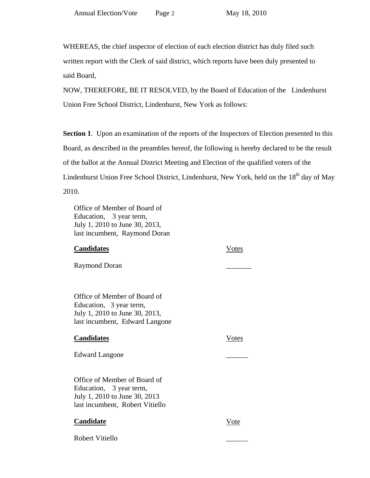WHEREAS, the chief inspector of election of each election district has duly filed such written report with the Clerk of said district, which reports have been duly presented to said Board,

 NOW, THEREFORE, BE IT RESOLVED, by the Board of Education of the Lindenhurst Union Free School District, Lindenhurst, New York as follows:

**Section 1.** Upon an examination of the reports of the Inspectors of Election presented to this Board, as described in the preambles hereof, the following is hereby declared to be the result of the ballot at the Annual District Meeting and Election of the qualified voters of the Lindenhurst Union Free School District, Lindenhurst, New York, held on the 18<sup>th</sup> day of May 2010.

 Office of Member of Board of Education, 3 year term, July 1, 2010 to June 30, 2013, last incumbent, Raymond Doran

### **Candidates** Votes

Raymond Doran

 Office of Member of Board of Education, 3 year term, July 1, 2010 to June 30, 2013, last incumbent, Edward Langone

### **Candidates** Votes

Edward Langone

 Office of Member of Board of Education, 3 year term, July 1, 2010 to June 30, 2013 last incumbent, Robert Vitiello

### **Candidate** Vote

Robert Vitiello \_\_\_\_\_\_